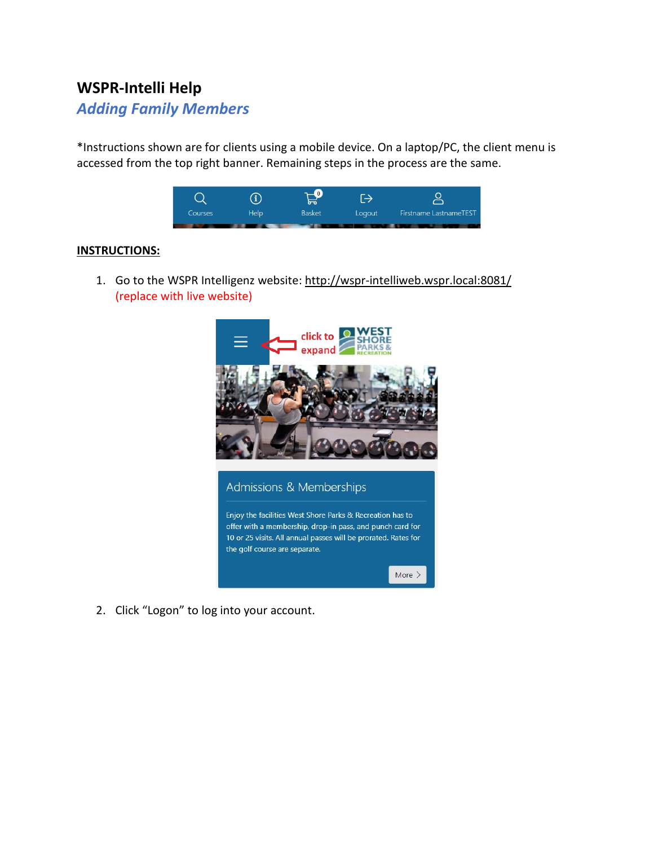# **WSPR-Intelli Help**

## *Adding Family Members*

\*Instructions shown are for clients using a mobile device. On a laptop/PC, the client menu is accessed from the top right banner. Remaining steps in the process are the same.



#### **INSTRUCTIONS:**

1. Go to the WSPR Intelligenz website:<http://wspr-intelliweb.wspr.local:8081/> (replace with live website)



2. Click "Logon" to log into your account.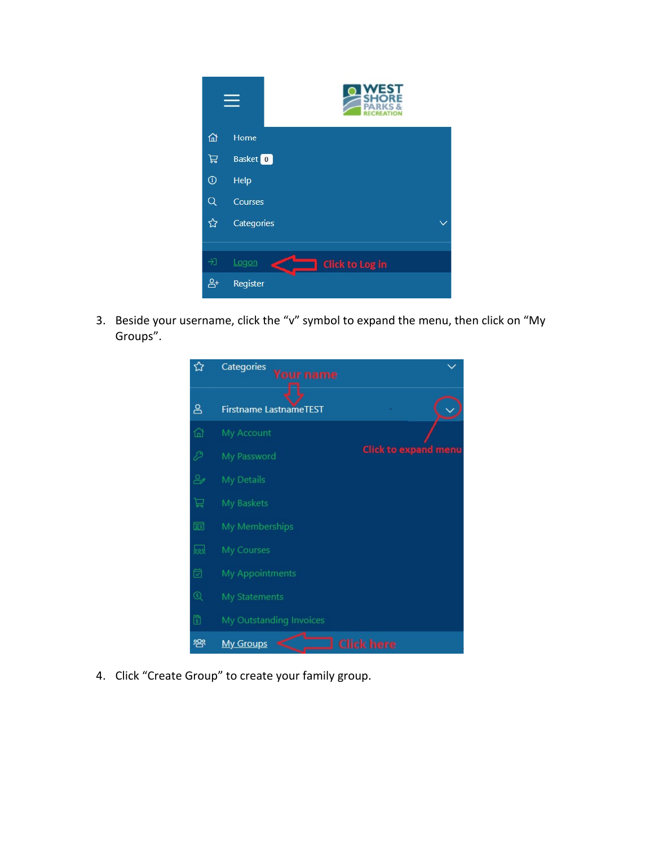

3. Beside your username, click the "v" symbol to expand the menu, then click on "My Groups".



4. Click "Create Group" to create your family group.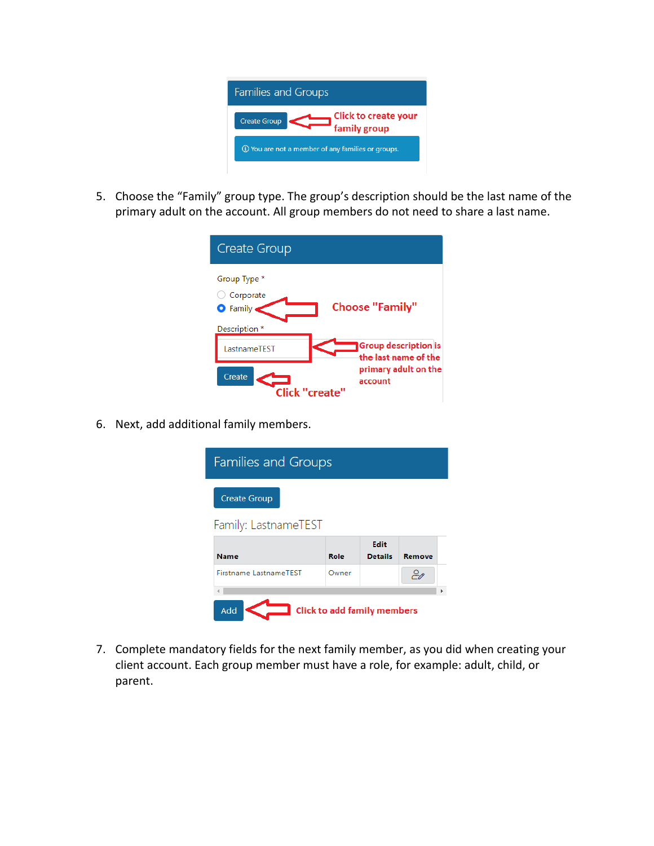

5. Choose the "Family" group type. The group's description should be the last name of the primary adult on the account. All group members do not need to share a last name.

| <b>Create Group</b>                           |                                                     |
|-----------------------------------------------|-----------------------------------------------------|
| Group Type *<br>Corporate<br>$\bullet$ Family | <b>Choose "Family"</b>                              |
| Description *                                 |                                                     |
| LastnameTEST                                  | <b>Group description is</b><br>the last name of the |
| Create<br><b>Click "create"</b>               | primary adult on the<br>account                     |

6. Next, add additional family members.

| <b>Families and Groups</b>                |       |                        |        |  |  |
|-------------------------------------------|-------|------------------------|--------|--|--|
| <b>Create Group</b>                       |       |                        |        |  |  |
| Family: LastnameTEST                      |       |                        |        |  |  |
| <b>Name</b>                               | Role  | Edit<br><b>Details</b> | Remove |  |  |
| <b>Firstname LastnameTEST</b>             | Owner |                        | ₽ø     |  |  |
|                                           |       |                        |        |  |  |
| <b>Click to add family members</b><br>Add |       |                        |        |  |  |

7. Complete mandatory fields for the next family member, as you did when creating your client account. Each group member must have a role, for example: adult, child, or parent.